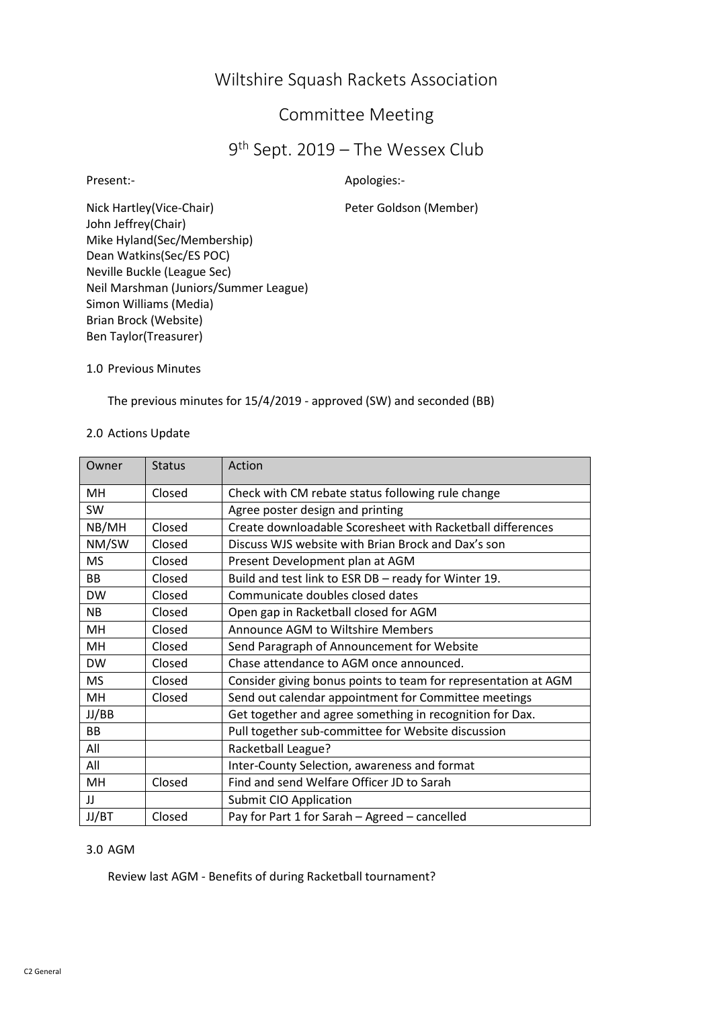# Wiltshire Squash Rackets Association

## Committee Meeting

## 9 th Sept. 2019 – The Wessex Club

Present:- Apologies:-

Nick Hartley(Vice-Chair) Peter Goldson (Member) John Jeffrey(Chair) Mike Hyland(Sec/Membership) Dean Watkins(Sec/ES POC) Neville Buckle (League Sec) Neil Marshman (Juniors/Summer League) Simon Williams (Media) Brian Brock (Website) Ben Taylor(Treasurer)

1.0 Previous Minutes

The previous minutes for 15/4/2019 - approved (SW) and seconded (BB)

## 2.0 Actions Update

| Owner     | <b>Status</b> | Action                                                         |
|-----------|---------------|----------------------------------------------------------------|
| MН        | Closed        | Check with CM rebate status following rule change              |
| SW        |               | Agree poster design and printing                               |
| NB/MH     | Closed        | Create downloadable Scoresheet with Racketball differences     |
| NM/SW     | Closed        | Discuss WJS website with Brian Brock and Dax's son             |
| MS        | Closed        | Present Development plan at AGM                                |
| <b>BB</b> | Closed        | Build and test link to ESR DB - ready for Winter 19.           |
| <b>DW</b> | Closed        | Communicate doubles closed dates                               |
| ΝB        | Closed        | Open gap in Racketball closed for AGM                          |
| мн        | Closed        | Announce AGM to Wiltshire Members                              |
| MH        | Closed        | Send Paragraph of Announcement for Website                     |
| <b>DW</b> | Closed        | Chase attendance to AGM once announced.                        |
| <b>MS</b> | Closed        | Consider giving bonus points to team for representation at AGM |
| MH        | Closed        | Send out calendar appointment for Committee meetings           |
| JJ/BB     |               | Get together and agree something in recognition for Dax.       |
| <b>BB</b> |               | Pull together sub-committee for Website discussion             |
| All       |               | Racketball League?                                             |
| All       |               | Inter-County Selection, awareness and format                   |
| MH        | Closed        | Find and send Welfare Officer JD to Sarah                      |
| IJ        |               | Submit CIO Application                                         |
| JJ/BT     | Closed        | Pay for Part 1 for Sarah - Agreed - cancelled                  |

#### 3.0 AGM

Review last AGM - Benefits of during Racketball tournament?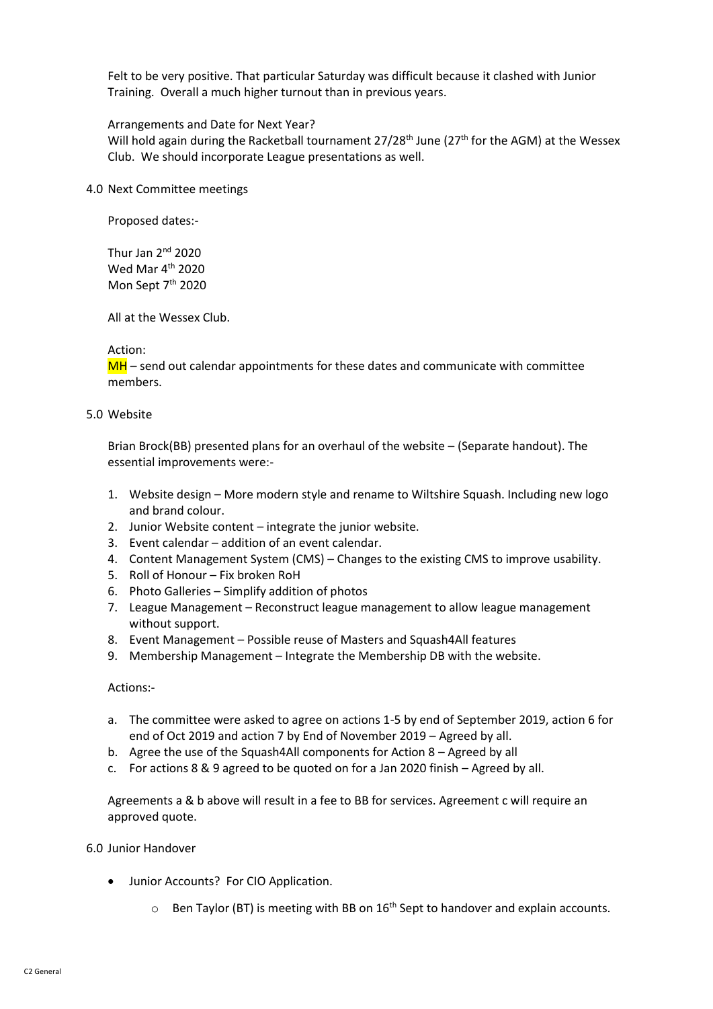Felt to be very positive. That particular Saturday was difficult because it clashed with Junior Training. Overall a much higher turnout than in previous years.

#### Arrangements and Date for Next Year?

Will hold again during the Racketball tournament  $27/28<sup>th</sup>$  June (27<sup>th</sup> for the AGM) at the Wessex Club. We should incorporate League presentations as well.

4.0 Next Committee meetings

Proposed dates:-

Thur Jan 2nd 2020 Wed Mar 4th 2020 Mon Sept 7<sup>th</sup> 2020

All at the Wessex Club.

#### Action:

 $MH$  – send out calendar appointments for these dates and communicate with committee members.

#### 5.0 Website

Brian Brock(BB) presented plans for an overhaul of the website – (Separate handout). The essential improvements were:-

- 1. Website design More modern style and rename to Wiltshire Squash. Including new logo and brand colour.
- 2. Junior Website content integrate the junior website.
- 3. Event calendar addition of an event calendar.
- 4. Content Management System (CMS) Changes to the existing CMS to improve usability.
- 5. Roll of Honour Fix broken RoH
- 6. Photo Galleries Simplify addition of photos
- 7. League Management Reconstruct league management to allow league management without support.
- 8. Event Management Possible reuse of Masters and Squash4All features
- 9. Membership Management Integrate the Membership DB with the website.

## Actions:-

- a. The committee were asked to agree on actions 1-5 by end of September 2019, action 6 for end of Oct 2019 and action 7 by End of November 2019 – Agreed by all.
- b. Agree the use of the Squash4All components for Action 8 Agreed by all
- c. For actions 8 & 9 agreed to be quoted on for a Jan 2020 finish Agreed by all.

Agreements a & b above will result in a fee to BB for services. Agreement c will require an approved quote.

#### 6.0 Junior Handover

- Junior Accounts? For CIO Application.
	- $\circ$  Ben Taylor (BT) is meeting with BB on 16<sup>th</sup> Sept to handover and explain accounts.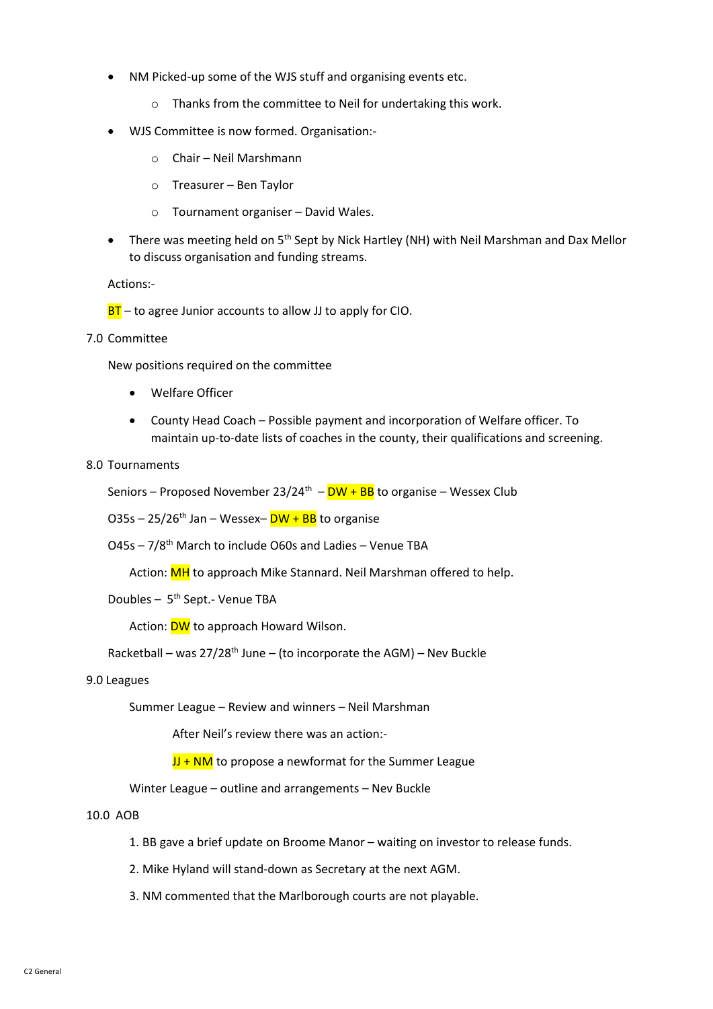- NM Picked-up some of the WJS stuff and organising events etc.
	- o Thanks from the committee to Neil for undertaking this work.
- WJS Committee is now formed. Organisation:
	- o Chair Neil Marshmann
	- o Treasurer Ben Taylor
	- o Tournament organiser David Wales.
- There was meeting held on 5<sup>th</sup> Sept by Nick Hartley (NH) with Neil Marshman and Dax Mellor to discuss organisation and funding streams.

Actions:-

 $BT -$  to agree Junior accounts to allow JJ to apply for CIO.

7.0 Committee

New positions required on the committee

- Welfare Officer
- County Head Coach Possible payment and incorporation of Welfare officer. To maintain up-to-date lists of coaches in the county, their qualifications and screening.

## 8.0 Tournaments

Seniors – Proposed November 23/24<sup>th</sup> –  $DW + BB$  to organise – Wessex Club

 $O35s - 25/26^{th}$  Jan – Wessex– $DW + BB$  to organise

O45s – 7/8th March to include O60s and Ladies – Venue TBA

Action: MH to approach Mike Stannard. Neil Marshman offered to help.

Doubles - 5<sup>th</sup> Sept.- Venue TBA

Action: **DW** to approach Howard Wilson.

Racketball – was  $27/28^{th}$  June – (to incorporate the AGM) – Nev Buckle

## 9.0 Leagues

Summer League – Review and winners – Neil Marshman

After Neil's review there was an action:-

 $JJ + NM$  to propose a newformat for the Summer League

Winter League – outline and arrangements – Nev Buckle

#### 10.0 AOB

- 1. BB gave a brief update on Broome Manor waiting on investor to release funds.
- 2. Mike Hyland will stand-down as Secretary at the next AGM.
- 3. NM commented that the Marlborough courts are not playable.